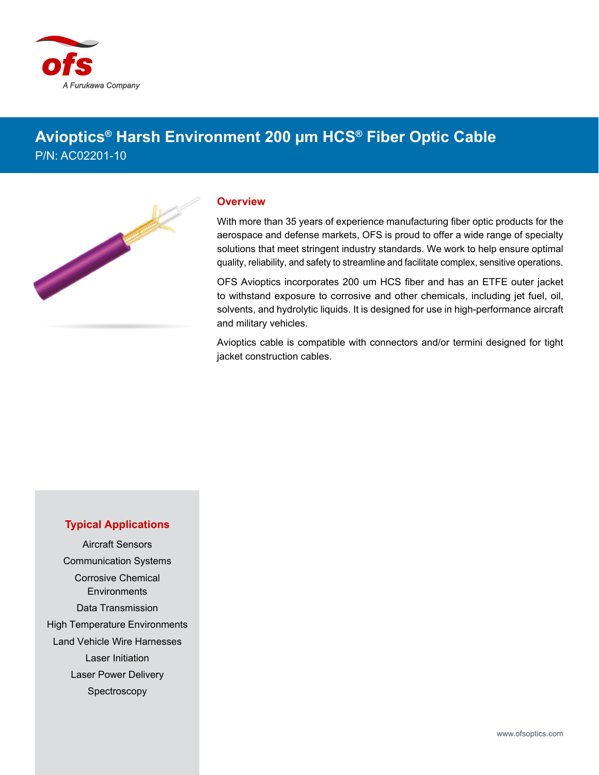

## **Avioptics® Harsh Environment 200 µm HCS® Fiber Optic Cable** P/N: AC02201-10



## **Overview**

With more than 35 years of experience manufacturing fiber optic products for the aerospace and defense markets, OFS is proud to offer a wide range of specialty solutions that meet stringent industry standards. We work to help ensure optimal quality, reliability, and safety to streamline and facilitate complex, sensitive operations.

OFS Avioptics incorporates 200 um HCS fiber and has an ETFE outer jacket to withstand exposure to corrosive and other chemicals, including jet fuel, oil, solvents, and hydrolytic liquids. It is designed for use in high-performance aircraft and military vehicles.

Avioptics cable is compatible with connectors and/or termini designed for tight jacket construction cables.

## **Typical Applications**

Aircraft Sensors Communication Systems Corrosive Chemical **Environments** Data Transmission High Temperature Environments Land Vehicle Wire Harnesses Laser Initiation Laser Power Delivery Spectroscopy